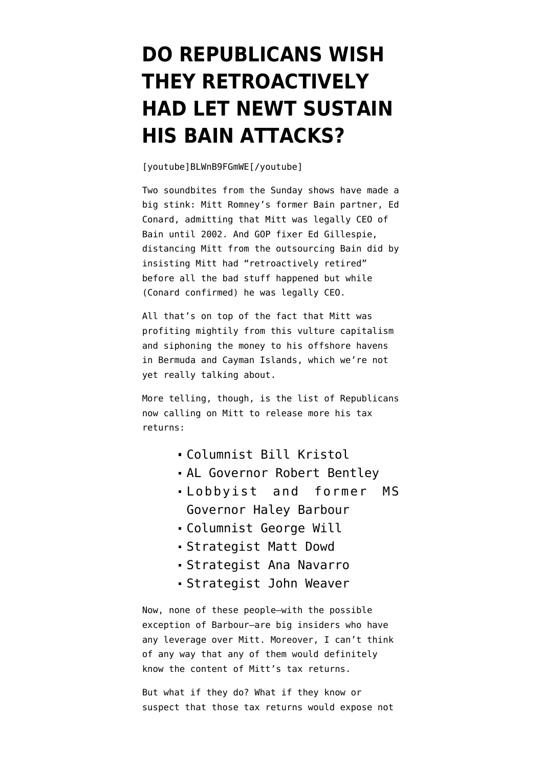## **[DO REPUBLICANS WISH](https://www.emptywheel.net/2012/07/15/do-republicans-wish-they-retroactively-had-let-newt-sustain-his-bain-attacks/) [THEY RETROACTIVELY](https://www.emptywheel.net/2012/07/15/do-republicans-wish-they-retroactively-had-let-newt-sustain-his-bain-attacks/) [HAD LET NEWT SUSTAIN](https://www.emptywheel.net/2012/07/15/do-republicans-wish-they-retroactively-had-let-newt-sustain-his-bain-attacks/) [HIS BAIN ATTACKS?](https://www.emptywheel.net/2012/07/15/do-republicans-wish-they-retroactively-had-let-newt-sustain-his-bain-attacks/)**

[youtube]BLWnB9FGmWE[/youtube]

Two soundbites from the Sunday shows have made a big stink: Mitt Romney's former Bain partner, Ed Conard, [admitting](http://upwithchrishayes.msnbc.msn.com/_news/2012/07/15/12751248-fmr-bain-partner-acknowledges-romney-was-legally-ceo-of-bain-until-2002) that Mitt was legally CEO of Bain until 2002. And GOP fixer Ed Gillespie, distancing Mitt from the outsourcing Bain did by [insisting](http://thinkprogress.org/election/2012/07/15/517751/romney-adviser-romney-not-responsible-for-bain-because-he-retired-retroactively/) Mitt had "retroactively retired" before all the bad stuff happened but while (Conard confirmed) he was legally CEO.

All that's on top of the fact that Mitt was profiting mightily from this vulture capitalism and siphoning the money to his offshore havens in Bermuda and Cayman Islands, which we're not yet really talking about.

More telling, though, is the [list of Republicans](http://thinkprogress.org/election/2012/07/15/517781/bill-kristol-romney-should-release-the-tax-returns-tomorrow/) now calling on Mitt to release more his tax returns:

- Columnist Bill Kristol
- AL Governor Robert Bentley
- Lobbyist and former MS Governor Haley Barbour
- Columnist George Will
- Strategist Matt Dowd
- Strategist Ana Navarro
- Strategist John Weaver

Now, none of these people–with the possible exception of Barbour–are big insiders who have any leverage over Mitt. Moreover, I can't think of any way that any of them would definitely know the content of Mitt's tax returns.

But what if they do? What if they know or suspect that those tax returns would expose not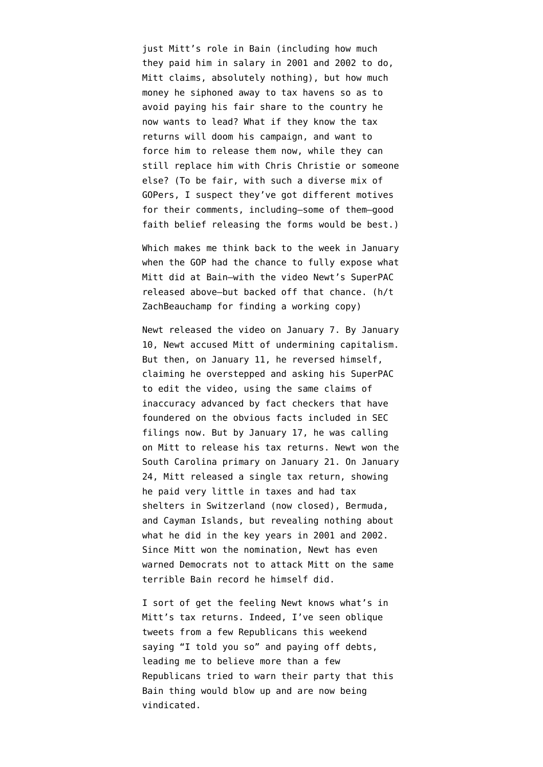just Mitt's role in Bain (including how much they paid him in salary in 2001 and 2002 to do, Mitt claims, absolutely nothing), but how much money he siphoned away to tax havens so as to avoid paying his fair share to the country he now wants to lead? What if they know the tax returns will doom his campaign, and want to force him to release them now, while they can still replace him with Chris Christie or someone else? (To be fair, with such a diverse mix of GOPers, I suspect they've got different motives for their comments, including–some of them–good faith belief releasing the forms would be best.)

Which makes me think back to the week in January when the GOP had the chance to fully expose what Mitt did at Bain–with the video Newt's SuperPAC released above–but backed off that chance. (h/t [ZachBeauchamp](http://twitter.com/zackbeauchamp/statuses/224544879169122304) for finding a working copy)

Newt released the video on January 7. By January 10, Newt [accused](http://thehill.com/video/campaign/203265-gingrich-romney-firm-bain-capital-undermined-capitalism) Mitt of undermining capitalism. But then, on January 11, he reversed himself, [claiming](http://www.politico.com/news/stories/0112/71336.html) he overstepped and asking his SuperPAC to edit the video, using the same claims of inaccuracy advanced by fact checkers that have foundered on the obvious facts included in SEC filings now. But by January 17, he was [calling](http://www.nationalreview.com/corner/288363/gingrich-calls-romney-release-tax-returns-brian-bolduc) [on Mitt](http://www.nationalreview.com/corner/288363/gingrich-calls-romney-release-tax-returns-brian-bolduc) to release his tax returns. Newt [won](http://www.washingtonpost.com/blogs/election-2012/post/south-carolina-republican-primary-live-updates-photos-video/2012/01/21/gIQADpwbGQ_blog.html) the South Carolina primary on January 21. On January 24, Mitt [released](https://www.nytimes.com/2012/01/25/us/politics/romneys-tax-returns-show-21-6-million-income-in-10.html?pagewanted=all) a single tax return, showing he paid very little in taxes and had tax shelters in Switzerland (now closed), Bermuda, and Cayman Islands, but revealing nothing about what he did in the key years in 2001 and 2002. Since Mitt won the nomination, Newt has even [warned](http://www.huffingtonpost.com/2012/05/22/newt-gingrich-bain-capital_n_1534901.html) Democrats not to attack Mitt on the same terrible Bain record he himself did.

I sort of get the feeling Newt knows what's in Mitt's tax returns. Indeed, I've seen oblique tweets from a few Republicans this weekend saying "I told you so" and paying off debts, leading me to believe more than a few Republicans tried to warn their party that this Bain thing would blow up and are now being vindicated.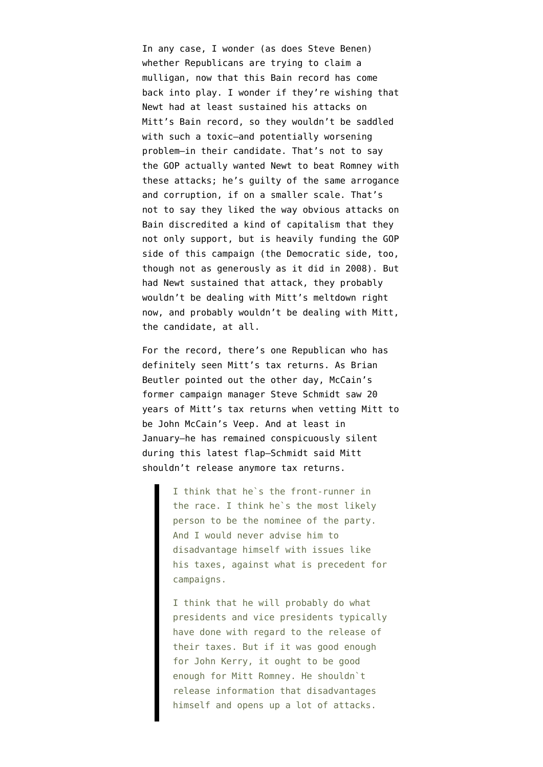In any case, I wonder (as does [Steve Benen](https://twitter.com/stevebenen/status/224567607456567296)) whether Republicans are trying to claim a mulligan, now that this Bain record has come back into play. I wonder if they're wishing that Newt had at least sustained his attacks on Mitt's Bain record, so they wouldn't be saddled with such a toxic–and potentially worsening problem–in their candidate. That's not to say the GOP actually wanted Newt to beat Romney with these attacks; he's guilty of the same arrogance and corruption, if on a smaller scale. That's not to say they liked the way obvious attacks on Bain discredited a kind of capitalism that they not only support, but is heavily funding the GOP side of this campaign (the Democratic side, too, though not as generously as it did in 2008). But had Newt sustained that attack, they probably wouldn't be dealing with Mitt's meltdown right now, and probably wouldn't be dealing with Mitt, the candidate, at all.

For the record, there's one Republican who has definitely seen Mitt's tax returns. As Brian Beutler [pointed out](http://talkingpointsmemo.com/archives/2012/07/romneys_big_tax_return_tell.php) the other day, McCain's former campaign manager Steve Schmidt saw 20 years of Mitt's tax returns when vetting Mitt to be John McCain's Veep. And at least in January–he has remained conspicuously silent during this latest flap–Schmidt said Mitt shouldn't release anymore tax returns.

> I think that he`s the front-runner in the race. I think he`s the most likely person to be the nominee of the party. And I would never advise him to disadvantage himself with issues like his taxes, against what is precedent for campaigns.

> I think that he will probably do what presidents and vice presidents typically have done with regard to the release of their taxes. But if it was good enough for John Kerry, it ought to be good enough for Mitt Romney. He shouldn`t release information that disadvantages himself and opens up a lot of attacks.